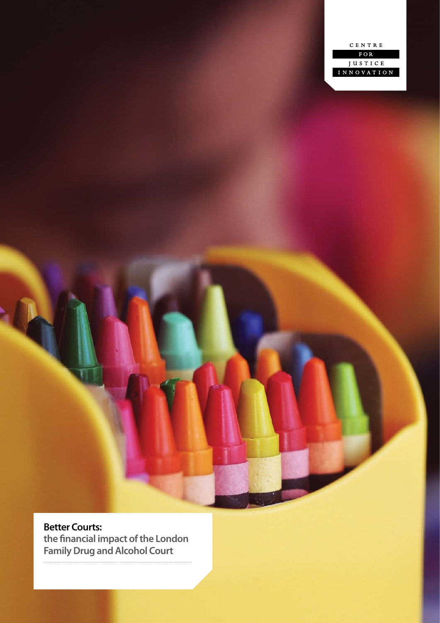

**Better Courts: the financial impact of the London Family Drug and Alcohol Court**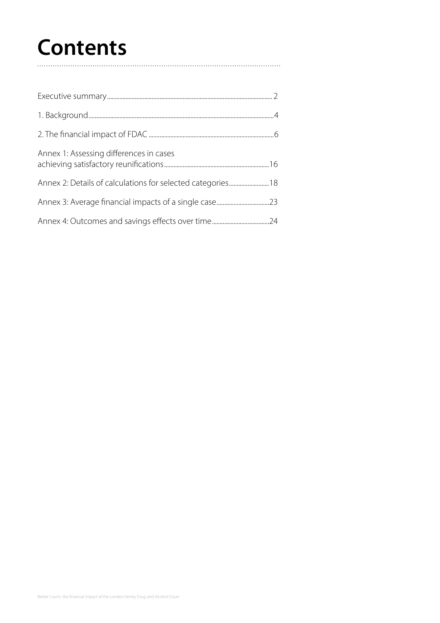# **Contents**

| Annex 1: Assessing differences in cases                    |  |
|------------------------------------------------------------|--|
| Annex 2: Details of calculations for selected categories18 |  |
|                                                            |  |
|                                                            |  |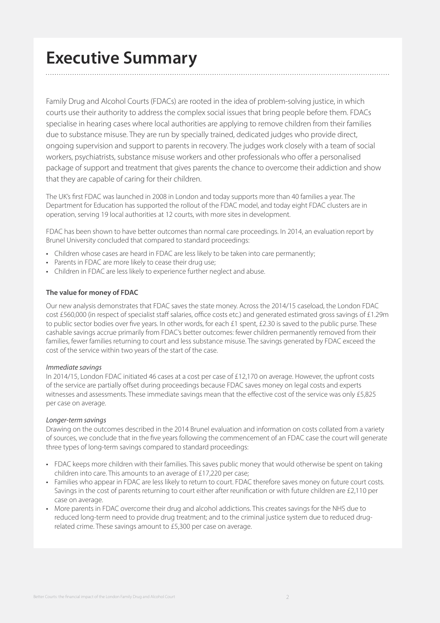# **Executive Summary**

Family Drug and Alcohol Courts (FDACs) are rooted in the idea of problem-solving justice, in which courts use their authority to address the complex social issues that bring people before them. FDACs specialise in hearing cases where local authorities are applying to remove children from their families due to substance misuse. They are run by specially trained, dedicated judges who provide direct, ongoing supervision and support to parents in recovery. The judges work closely with a team of social workers, psychiatrists, substance misuse workers and other professionals who offer a personalised package of support and treatment that gives parents the chance to overcome their addiction and show that they are capable of caring for their children.

The UK's first FDAC was launched in 2008 in London and today supports more than 40 families a year. The Department for Education has supported the rollout of the FDAC model, and today eight FDAC clusters are in operation, serving 19 local authorities at 12 courts, with more sites in development.

FDAC has been shown to have better outcomes than normal care proceedings. In 2014, an evaluation report by Brunel University concluded that compared to standard proceedings:

- Children whose cases are heard in FDAC are less likely to be taken into care permanently;
- Parents in FDAC are more likely to cease their drug use;
- Children in FDAC are less likely to experience further neglect and abuse.

#### **The value for money of FDAC**

Our new analysis demonstrates that FDAC saves the state money. Across the 2014/15 caseload, the London FDAC cost £560,000 (in respect of specialist staff salaries, office costs etc.) and generated estimated gross savings of £1.29m to public sector bodies over five years. In other words, for each £1 spent, £2.30 is saved to the public purse. These cashable savings accrue primarily from FDAC's better outcomes: fewer children permanently removed from their families, fewer families returning to court and less substance misuse. The savings generated by FDAC exceed the cost of the service within two years of the start of the case.

#### *Immediate savings*

In 2014/15, London FDAC initiated 46 cases at a cost per case of £12,170 on average. However, the upfront costs of the service are partially offset during proceedings because FDAC saves money on legal costs and experts witnesses and assessments. These immediate savings mean that the effective cost of the service was only £5,825 per case on average.

#### *Longer-term savings*

Drawing on the outcomes described in the 2014 Brunel evaluation and information on costs collated from a variety of sources, we conclude that in the five years following the commencement of an FDAC case the court will generate three types of long-term savings compared to standard proceedings:

- FDAC keeps more children with their families. This saves public money that would otherwise be spent on taking children into care. This amounts to an average of £17,220 per case;
- Families who appear in FDAC are less likely to return to court. FDAC therefore saves money on future court costs. Savings in the cost of parents returning to court either after reunification or with future children are £2,110 per case on average.
- More parents in FDAC overcome their drug and alcohol addictions. This creates savings for the NHS due to reduced long-term need to provide drug treatment; and to the criminal justice system due to reduced drugrelated crime. These savings amount to £5,300 per case on average.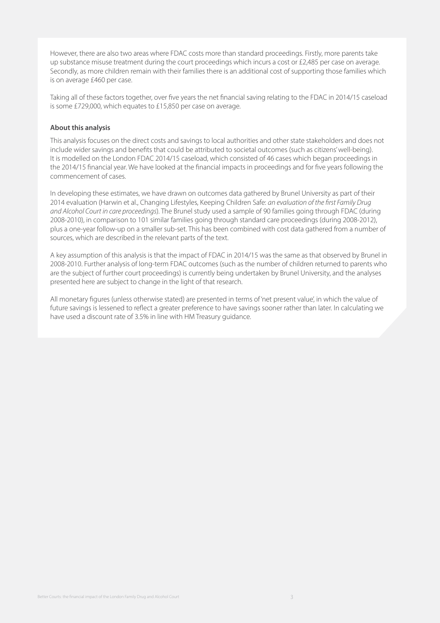However, there are also two areas where FDAC costs more than standard proceedings. Firstly, more parents take up substance misuse treatment during the court proceedings which incurs a cost or £2,485 per case on average. Secondly, as more children remain with their families there is an additional cost of supporting those families which is on average £460 per case.

Taking all of these factors together, over five years the net financial saving relating to the FDAC in 2014/15 caseload is some £729,000, which equates to £15,850 per case on average.

#### **About this analysis**

This analysis focuses on the direct costs and savings to local authorities and other state stakeholders and does not include wider savings and benefits that could be attributed to societal outcomes (such as citizens' well-being). It is modelled on the London FDAC 2014/15 caseload, which consisted of 46 cases which began proceedings in the 2014/15 financial year. We have looked at the financial impacts in proceedings and for five years following the commencement of cases.

In developing these estimates, we have drawn on outcomes data gathered by Brunel University as part of their 2014 evaluation (Harwin et al., Changing Lifestyles, Keeping Children Safe: *an evaluation of the first Family Drug and Alcohol Court in care proceedings*). The Brunel study used a sample of 90 families going through FDAC (during 2008-2010), in comparison to 101 similar families going through standard care proceedings (during 2008-2012), plus a one-year follow-up on a smaller sub-set. This has been combined with cost data gathered from a number of sources, which are described in the relevant parts of the text.

A key assumption of this analysis is that the impact of FDAC in 2014/15 was the same as that observed by Brunel in 2008-2010. Further analysis of long-term FDAC outcomes (such as the number of children returned to parents who are the subject of further court proceedings) is currently being undertaken by Brunel University, and the analyses presented here are subject to change in the light of that research.

All monetary figures (unless otherwise stated) are presented in terms of 'net present value', in which the value of future savings is lessened to reflect a greater preference to have savings sooner rather than later. In calculating we have used a discount rate of 3.5% in line with HM Treasury guidance.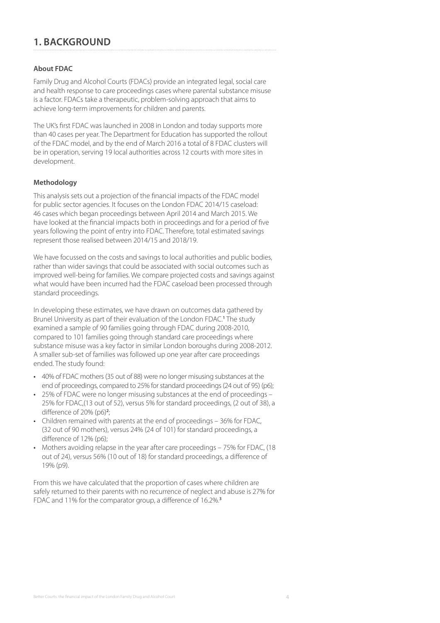# **1. BACKGROUND**

#### **About FDAC**

Family Drug and Alcohol Courts (FDACs) provide an integrated legal, social care and health response to care proceedings cases where parental substance misuse is a factor. FDACs take a therapeutic, problem-solving approach that aims to achieve long-term improvements for children and parents.

The UK's first FDAC was launched in 2008 in London and today supports more than 40 cases per year. The Department for Education has supported the rollout of the FDAC model, and by the end of March 2016 a total of 8 FDAC clusters will be in operation, serving 19 local authorities across 12 courts with more sites in development.

#### **Methodology**

This analysis sets out a projection of the financial impacts of the FDAC model for public sector agencies. It focuses on the London FDAC 2014/15 caseload: 46 cases which began proceedings between April 2014 and March 2015. We have looked at the financial impacts both in proceedings and for a period of five years following the point of entry into FDAC. Therefore, total estimated savings represent those realised between 2014/15 and 2018/19.

We have focussed on the costs and savings to local authorities and public bodies, rather than wider savings that could be associated with social outcomes such as improved well-being for families. We compare projected costs and savings against what would have been incurred had the FDAC caseload been processed through standard proceedings.

In developing these estimates, we have drawn on outcomes data gathered by Brunel University as part of their evaluation of the London FDAC.<sup>1</sup> The study examined a sample of 90 families going through FDAC during 2008-2010, compared to 101 families going through standard care proceedings where substance misuse was a key factor in similar London boroughs during 2008-2012. A smaller sub-set of families was followed up one year after care proceedings ended. The study found:

- 40% of FDAC mothers (35 out of 88) were no longer misusing substances at the end of proceedings, compared to 25% for standard proceedings (24 out of 95) (p6);
- 25% of FDAC were no longer misusing substances at the end of proceedings 25% for FDAC,(13 out of 52), versus 5% for standard proceedings, (2 out of 38), a difference of 20% (p6)**<sup>2</sup>** ;
- Children remained with parents at the end of proceedings 36% for FDAC, (32 out of 90 mothers), versus 24% (24 of 101) for standard proceedings, a difference of 12% (p6):
- Mothers avoiding relapse in the year after care proceedings 75% for FDAC, (18 out of 24), versus 56% (10 out of 18) for standard proceedings, a difference of 19% (p9).

From this we have calculated that the proportion of cases where children are safely returned to their parents with no recurrence of neglect and abuse is 27% for FDAC and 11% for the comparator group, a difference of 16.2%.**3**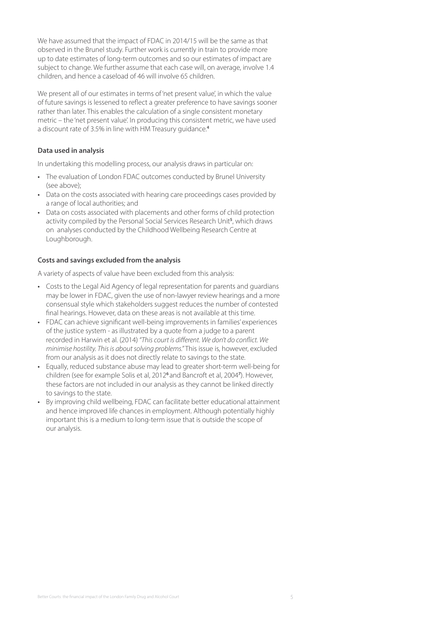We have assumed that the impact of FDAC in 2014/15 will be the same as that observed in the Brunel study. Further work is currently in train to provide more up to date estimates of long-term outcomes and so our estimates of impact are subject to change. We further assume that each case will, on average, involve 1.4 children, and hence a caseload of 46 will involve 65 children.

We present all of our estimates in terms of 'net present value', in which the value of future savings is lessened to reflect a greater preference to have savings sooner rather than later. This enables the calculation of a single consistent monetary metric – the 'net present value'. In producing this consistent metric, we have used a discount rate of 3.5% in line with HM Treasury guidance.**<sup>4</sup>**

#### **Data used in analysis**

In undertaking this modelling process, our analysis draws in particular on:

- The evaluation of London FDAC outcomes conducted by Brunel University (see above);
- Data on the costs associated with hearing care proceedings cases provided by a range of local authorities; and
- Data on costs associated with placements and other forms of child protection activity compiled by the Personal Social Services Research Unit**<sup>5</sup>** , which draws on analyses conducted by the Childhood Wellbeing Research Centre at Loughborough.

#### **Costs and savings excluded from the analysis**

A variety of aspects of value have been excluded from this analysis:

- Costs to the Legal Aid Agency of legal representation for parents and guardians may be lower in FDAC, given the use of non-lawyer review hearings and a more consensual style which stakeholders suggest reduces the number of contested final hearings. However, data on these areas is not available at this time.
- FDAC can achieve significant well-being improvements in families' experiences of the justice system - as illustrated by a quote from a judge to a parent recorded in Harwin et al. (2014) *"This court is different. We don't do conflict. We minimise hostility. This is about solving problems."* This issue is, however, excluded from our analysis as it does not directly relate to savings to the state.
- Equally, reduced substance abuse may lead to greater short-term well-being for children (see for example Solis et al, 2012**<sup>6</sup>**and Bancroft et al, 2004**<sup>7</sup>** ). However, these factors are not included in our analysis as they cannot be linked directly to savings to the state.
- By improving child wellbeing, FDAC can facilitate better educational attainment and hence improved life chances in employment. Although potentially highly important this is a medium to long-term issue that is outside the scope of our analysis.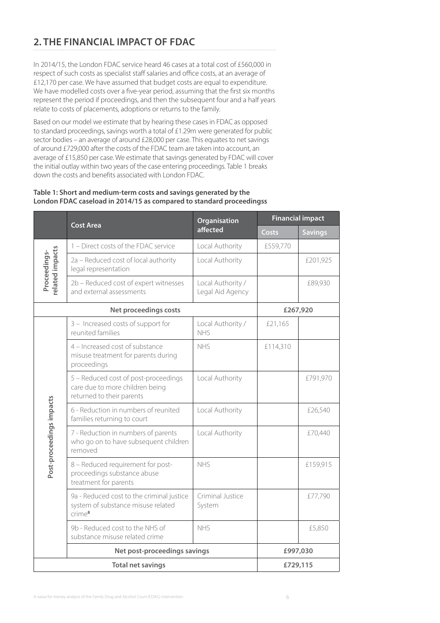# **2. THE FINANCIAL IMPACT OF FDAC**

In 2014/15, the London FDAC service heard 46 cases at a total cost of £560,000 in respect of such costs as specialist staff salaries and office costs, at an average of £12,170 per case. We have assumed that budget costs are equal to expenditure. We have modelled costs over a five-year period, assuming that the first six months represent the period if proceedings, and then the subsequent four and a half years relate to costs of placements, adoptions or returns to the family.

Based on our model we estimate that by hearing these cases in FDAC as opposed to standard proceedings, savings worth a total of £1.29m were generated for public sector bodies – an average of around £28,000 per case. This equates to net savings of around £729,000 after the costs of the FDAC team are taken into account, an average of £15,850 per case. We estimate that savings generated by FDAC will cover the initial outlay within two years of the case entering proceedings. Table 1 breaks down the costs and benefits associated with London FDAC.

#### **Table 1: Short and medium-term costs and savings generated by the London FDAC caseload in 2014/15 as compared to standard proceedingss**

|                                |                                                                                                      | Organisation                          |          | <b>Financial impact</b> |
|--------------------------------|------------------------------------------------------------------------------------------------------|---------------------------------------|----------|-------------------------|
|                                | <b>Cost Area</b>                                                                                     | affected                              | Costs    | <b>Savings</b>          |
|                                | 1 - Direct costs of the FDAC service                                                                 | Local Authority                       | £559,770 |                         |
| elated impacts<br>Proceedings- | 2a - Reduced cost of local authority<br>legal representation                                         | Local Authority                       |          | £201,925                |
|                                | 2b - Reduced cost of expert witnesses<br>and external assessments                                    | Local Authority /<br>Legal Aid Agency |          | £89,930                 |
|                                | Net proceedings costs                                                                                |                                       |          | £267,920                |
|                                | 3 - Increased costs of support for<br>reunited families                                              | Local Authority /<br><b>NHS</b>       | £21,165  |                         |
|                                | 4 - Increased cost of substance<br>misuse treatment for parents during<br>proceedings                | <b>NHS</b>                            | £114,310 |                         |
|                                | 5 - Reduced cost of post-proceedings<br>care due to more children being<br>returned to their parents | Local Authority                       |          | £791,970                |
|                                | 6 - Reduction in numbers of reunited<br>families returning to court                                  | Local Authority                       |          | £26,540                 |
| Post-proceedings impacts       | 7 - Reduction in numbers of parents<br>who go on to have subsequent children<br>removed              | Local Authority                       |          | £70,440                 |
|                                | 8 - Reduced requirement for post-<br>proceedings substance abuse<br>treatment for parents            | <b>NHS</b>                            |          | £159,915                |
|                                | 9a - Reduced cost to the criminal justice<br>system of substance misuse related<br>$C$ rime $8$      | Criminal Justice<br>System            |          | £77,790                 |
|                                | 9b - Reduced cost to the NHS of<br>substance misuse related crime                                    | <b>NHS</b>                            |          | £5,850                  |
|                                | Net post-proceedings savings                                                                         |                                       | £997,030 |                         |
|                                | <b>Total net savings</b>                                                                             |                                       |          | £729,115                |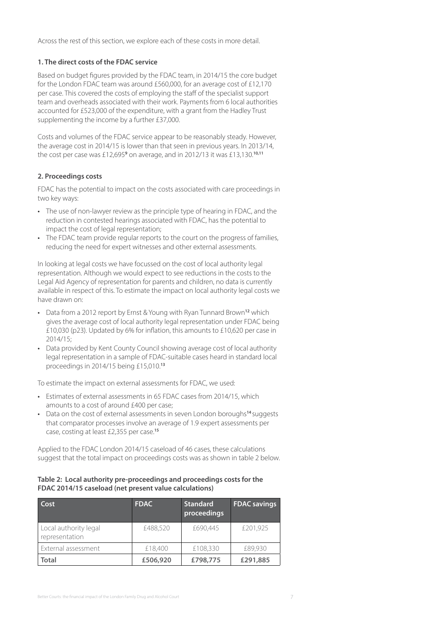Across the rest of this section, we explore each of these costs in more detail.

#### **1. The direct costs of the FDAC service**

Based on budget figures provided by the FDAC team, in 2014/15 the core budget for the London FDAC team was around £560,000, for an average cost of £12,170 per case. This covered the costs of employing the staff of the specialist support team and overheads associated with their work. Payments from 6 local authorities accounted for £523,000 of the expenditure, with a grant from the Hadley Trust supplementing the income by a further £37,000.

Costs and volumes of the FDAC service appear to be reasonably steady. However, the average cost in 2014/15 is lower than that seen in previous years. In 2013/14, the cost per case was £12,695<sup>9</sup> on average, and in 2012/13 it was £13,130.<sup>10,11</sup>

#### **2. Proceedings costs**

FDAC has the potential to impact on the costs associated with care proceedings in two key ways:

- The use of non-lawyer review as the principle type of hearing in FDAC, and the reduction in contested hearings associated with FDAC, has the potential to impact the cost of legal representation;
- The FDAC team provide regular reports to the court on the progress of families, reducing the need for expert witnesses and other external assessments.

In looking at legal costs we have focussed on the cost of local authority legal representation. Although we would expect to see reductions in the costs to the Legal Aid Agency of representation for parents and children, no data is currently available in respect of this. To estimate the impact on local authority legal costs we have drawn on:

- Data from a 2012 report by Ernst & Young with Ryan Tunnard Brown**<sup>12</sup>** which gives the average cost of local authority legal representation under FDAC being £10,030 (p23). Updated by 6% for inflation, this amounts to £10,620 per case in 2014/15;
- Data provided by Kent County Council showing average cost of local authority legal representation in a sample of FDAC-suitable cases heard in standard local proceedings in 2014/15 being £15,010.**<sup>13</sup>**

To estimate the impact on external assessments for FDAC, we used:

- Estimates of external assessments in 65 FDAC cases from 2014/15, which amounts to a cost of around £400 per case;
- Data on the cost of external assessments in seven London boroughs**<sup>14</sup>**suggests that comparator processes involve an average of 1.9 expert assessments per case, costing at least £2,355 per case.**<sup>15</sup>**

Applied to the FDAC London 2014/15 caseload of 46 cases, these calculations suggest that the total impact on proceedings costs was as shown in table 2 below.

#### **Table 2: Local authority pre-proceedings and proceedings costs for the FDAC 2014/15 caseload (net present value calculations)**

| Cost                                    | <b>FDAC</b> | <b>Standard</b><br>proceedings | <b>FDAC</b> savings |
|-----------------------------------------|-------------|--------------------------------|---------------------|
| Local authority legal<br>representation | £488,520    | £690,445                       | £201,925            |
| External assessment                     | £18,400     | £108,330                       | £89,930             |
| <b>Total</b>                            | £506,920    | £798,775                       | £291,885            |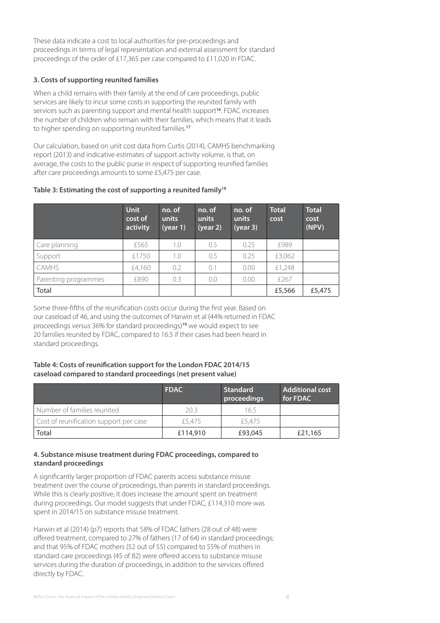These data indicate a cost to local authorities for pre-proceedings and proceedings in terms of legal representation and external assessment for standard proceedings of the order of £17,365 per case compared to £11,020 in FDAC.

#### **3. Costs of supporting reunited families**

When a child remains with their family at the end of care proceedings, public services are likely to incur some costs in supporting the reunited family with services such as parenting support and mental health support**<sup>16</sup>**. FDAC increases the number of children who remain with their families, which means that it leads to higher spending on supporting reunited families.**<sup>17</sup>**

Our calculation, based on unit cost data from Curtis (2014), CAMHS benchmarking report (2013) and indicative estimates of support activity volume, is that, on average, the costs to the public purse in respect of supporting reunified families after care proceedings amounts to some £5,475 per case.

|  | Table 3: Estimating the cost of supporting a reunited family <sup>18</sup> |  |  |
|--|----------------------------------------------------------------------------|--|--|
|  |                                                                            |  |  |

|                      | <b>Unit</b><br>cost of<br>activity | no. of<br>units<br>(year 1) | no. of<br>units<br>(year 2) | no. of<br>units<br>(year 3) | <b>Total</b><br>cost | <b>Total</b><br>cost<br>(NPV) |
|----------------------|------------------------------------|-----------------------------|-----------------------------|-----------------------------|----------------------|-------------------------------|
| Care planning        | £565                               | 1.0                         | 0.5                         | 0.25                        | £989                 |                               |
| Support              | £1750                              | 1.0                         | 0.5                         | 0.25                        | £3,062               |                               |
| CAMHS                | £4,160                             | 0.2                         | 0.1                         | 0.00                        | £1,248               |                               |
| Parenting programmes | £890                               | 0.3                         | 0.0                         | 0.00                        | £267                 |                               |
| Total                |                                    |                             |                             |                             | £5,566               | £5,475                        |

Some three-fifths of the reunification costs occur during the first year. Based on our caseload of 46, and using the outcomes of Harwin et al (44% returned in FDAC proceedings versus 36% for standard proceedings)**<sup>19</sup>** we would expect to see 20 families reunited by FDAC, compared to 16.5 if their cases had been heard in standard proceedings.

#### **Table 4: Costs of reunification support for the London FDAC 2014/15 caseload compared to standard proceedings (net present value)**

|                                        | <b>FDAC</b> | <b>Standard</b><br>proceedings | <b>Additional cost</b><br>for FDAC |
|----------------------------------------|-------------|--------------------------------|------------------------------------|
| Number of families reunited            | 20.3        | 165                            |                                    |
| Cost of reunification support per case | £5,475      | £5.475                         |                                    |
| Total                                  | £114,910    | £93,045                        | £21,165                            |

#### **4. Substance misuse treatment during FDAC proceedings, compared to standard proceedings**

A significantly larger proportion of FDAC parents access substance misuse treatment over the course of proceedings, than parents in standard proceedings. While this is clearly positive, it does increase the amount spent on treatment during proceedings. Our model suggests that under FDAC, £114,310 more was spent in 2014/15 on substance misuse treatment.

Harwin et al (2014) (p7) reports that 58% of FDAC fathers (28 out of 48) were offered treatment, compared to 27% of fathers (17 of 64) in standard proceedings; and that 95% of FDAC mothers (52 out of 55) compared to 55% of mothers in standard care proceedings (45 of 82) were offered access to substance misuse services during the duration of proceedings, in addition to the services offered directly by FDAC.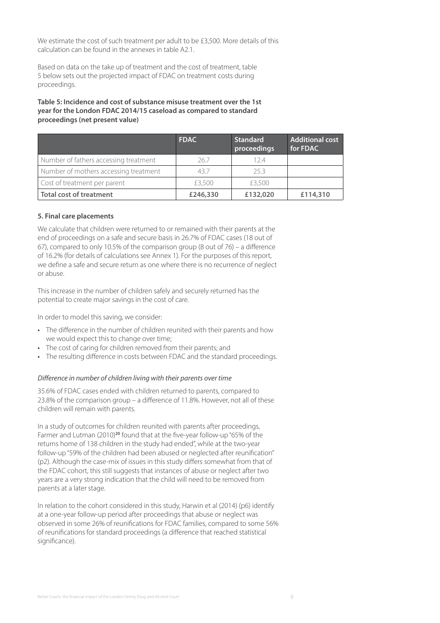We estimate the cost of such treatment per adult to be £3,500. More details of this calculation can be found in the annexes in table A2.1.

Based on data on the take up of treatment and the cost of treatment, table 5 below sets out the projected impact of FDAC on treatment costs during proceedings.

#### **Table 5: Incidence and cost of substance misuse treatment over the 1st year for the London FDAC 2014/15 caseload as compared to standard proceedings (net present value)**

|                                       | <b>FDAC</b> | <b>Standard</b><br>proceedings | <b>Additional cost</b><br>for FDAC |
|---------------------------------------|-------------|--------------------------------|------------------------------------|
| Number of fathers accessing treatment | 26.7        | 124                            |                                    |
| Number of mothers accessing treatment | 43.7        | 25.3                           |                                    |
| Cost of treatment per parent          | £3,500      | £3,500                         |                                    |
| <b>Total cost of treatment</b>        | £246,330    | £132,020                       | £114,310                           |

#### **5. Final care placements**

We calculate that children were returned to or remained with their parents at the end of proceedings on a safe and secure basis in 26.7% of FDAC cases (18 out of 67), compared to only 10.5% of the comparison group (8 out of 76) – a difference of 16.2% (for details of calculations see Annex 1). For the purposes of this report, we define a safe and secure return as one where there is no recurrence of neglect or abuse.

This increase in the number of children safely and securely returned has the potential to create major savings in the cost of care.

In order to model this saving, we consider:

- The difference in the number of children reunited with their parents and how we would expect this to change over time;
- The cost of caring for children removed from their parents; and
- The resulting difference in costs between FDAC and the standard proceedings.

#### *Difference in number of children living with their parents over time*

35.6% of FDAC cases ended with children returned to parents, compared to 23.8% of the comparison group – a difference of 11.8%. However, not all of these children will remain with parents.

In a study of outcomes for children reunited with parents after proceedings, Farmer and Lutman (2010)**<sup>20</sup>** found that at the five-year follow-up "65% of the returns home of 138 children in the study had ended", while at the two-year follow-up "59% of the children had been abused or neglected after reunification" (p2). Although the case-mix of issues in this study differs somewhat from that of the FDAC cohort, this still suggests that instances of abuse or neglect after two years are a very strong indication that the child will need to be removed from parents at a later stage.

In relation to the cohort considered in this study, Harwin et al (2014) (p6) identify at a one-year follow-up period after proceedings that abuse or neglect was observed in some 26% of reunifications for FDAC families, compared to some 56% of reunifications for standard proceedings (a difference that reached statistical significance).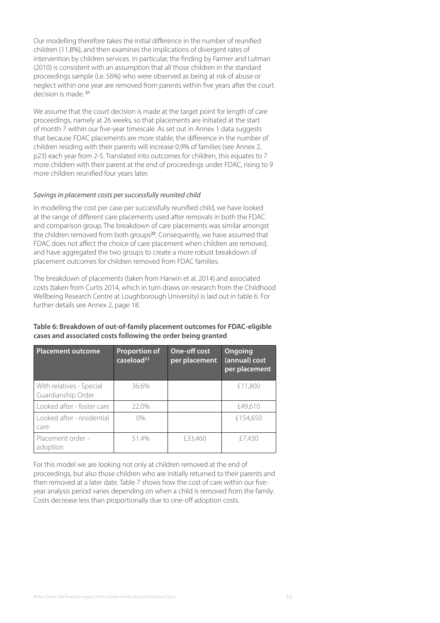Our modelling therefore takes the initial difference in the number of reunified children (11.8%), and then examines the implications of divergent rates of intervention by children services. In particular, the finding by Farmer and Lutman (2010) is consistent with an assumption that all those children in the standard proceedings sample (i.e. 56%) who were observed as being at risk of abuse or neglect within one year are removed from parents within five years after the court decision is made. **<sup>21</sup>**

We assume that the court decision is made at the target point for length of care proceedings, namely at 26 weeks, so that placements are initiated at the start of month 7 within our five-year timescale. As set out in Annex 1 data suggests that because FDAC placements are more stable, the difference in the number of children residing with their parents will increase 0.9% of families (see Annex 2, p23) each year from 2-5. Translated into outcomes for children, this equates to 7 more children with their parent at the end of proceedings under FDAC, rising to 9 more children reunified four years later.

#### *Savings in placement costs per successfully reunited child*

In modelling the cost per case per successfully reunified child, we have looked at the range of different care placements used after removals in both the FDAC and comparison group. The breakdown of care placements was similar amongst the children removed from both groups**<sup>22</sup>**. Consequently, we have assumed that FDAC does not affect the choice of care placement when children are removed, and have aggregated the two groups to create a more robust breakdown of placement outcomes for children removed from FDAC families.

The breakdown of placements (taken from Harwin et al, 2014) and associated costs (taken from Curtis 2014, which in turn draws on research from the Childhood Wellbeing Research Centre at Loughborough University) is laid out in table 6. For further details see Annex 2, page 18.

#### **Table 6: Breakdown of out-of-family placement outcomes for FDAC-eligible cases and associated costs following the order being granted**

| <b>Placement outcome</b>                       | <b>Proportion of</b><br>caseload <sup>23</sup> | One-off cost<br>per placement | Ongoing<br>(annual) cost<br>per placement |
|------------------------------------------------|------------------------------------------------|-------------------------------|-------------------------------------------|
| With relatives - Special<br>Guardianship Order | 36.6%                                          |                               | £11,800                                   |
| Looked after - foster care                     | 22.0%                                          |                               | £49,610                                   |
| Looked after - residential<br>care             | $0\%$                                          |                               | £154,650                                  |
| Placement order -<br>adoption                  | 51.4%                                          | £33,460                       | £7,430                                    |

For this model we are looking not only at children removed at the end of proceedings, but also those children who are initially returned to their parents and then removed at a later date. Table 7 shows how the cost of care within our fiveyear analysis period varies depending on when a child is removed from the family. Costs decrease less than proportionally due to one-off adoption costs.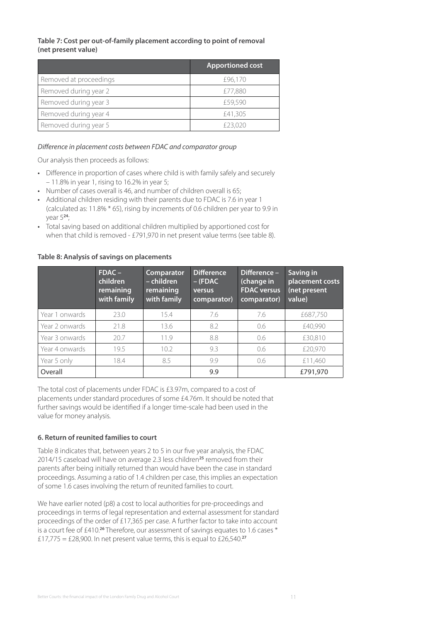#### **Table 7: Cost per out-of-family placement according to point of removal (net present value)**

|                        | <b>Apportioned cost</b> |
|------------------------|-------------------------|
| Removed at proceedings | £96,170                 |
| Removed during year 2  | £77,880                 |
| Removed during year 3  | £59,590                 |
| Removed during year 4  | £41,305                 |
| Removed during year 5  | £23,020                 |

#### *Difference in placement costs between FDAC and comparator group*

Our analysis then proceeds as follows:

- Difference in proportion of cases where child is with family safely and securely – 11.8% in year 1, rising to 16.2% in year 5;
- Number of cases overall is 46, and number of children overall is 65;
- Additional children residing with their parents due to FDAC is 7.6 in year 1 (calculated as: 11.8% \* 65), rising by increments of 0.6 children per year to 9.9 in year 5**<sup>24</sup>**;
- Total saving based on additional children multiplied by apportioned cost for when that child is removed - £791,970 in net present value terms (see table 8).

|                | $FDAC -$<br>children<br>remaining<br>with family | Comparator<br>- children<br>remaining<br>with family | <b>Difference</b><br>$-$ (FDAC)<br>versus<br>comparator) | Difference -<br>(change in<br><b>FDAC</b> versus<br>comparator) | Saving in<br>placement costs<br>(net present<br>value) |
|----------------|--------------------------------------------------|------------------------------------------------------|----------------------------------------------------------|-----------------------------------------------------------------|--------------------------------------------------------|
| Year 1 onwards | 23.0                                             | 15.4                                                 | 7.6                                                      | 7.6                                                             | £687,750                                               |
| Year 2 onwards | 21.8                                             | 13.6                                                 | 8.2                                                      | 0.6                                                             | £40,990                                                |
| Year 3 onwards | 20.7                                             | 11.9                                                 | 8.8                                                      | 0.6                                                             | £30,810                                                |
| Year 4 onwards | 19.5                                             | 10.2                                                 | 9.3                                                      | 0.6                                                             | £20,970                                                |
| Year 5 only    | 18.4                                             | 8.5                                                  | 9.9                                                      | 0.6                                                             | £11,460                                                |
| Overall        |                                                  |                                                      | 9.9                                                      |                                                                 | £791,970                                               |

#### **Table 8: Analysis of savings on placements**

The total cost of placements under FDAC is £3.97m, compared to a cost of placements under standard procedures of some £4.76m. It should be noted that further savings would be identified if a longer time-scale had been used in the value for money analysis.

#### **6. Return of reunited families to court**

Table 8 indicates that, between years 2 to 5 in our five year analysis, the FDAC 2014/15 caseload will have on average 2.3 less children**<sup>25</sup>** removed from their parents after being initially returned than would have been the case in standard proceedings. Assuming a ratio of 1.4 children per case, this implies an expectation of some 1.6 cases involving the return of reunited families to court.

We have earlier noted (p8) a cost to local authorities for pre-proceedings and proceedings in terms of legal representation and external assessment for standard proceedings of the order of £17,365 per case. A further factor to take into account is a court fee of £410.**<sup>26</sup>** Therefore, our assessment of savings equates to 1.6 cases \* £17,775 = £28,900. In net present value terms, this is equal to £26,540.**27**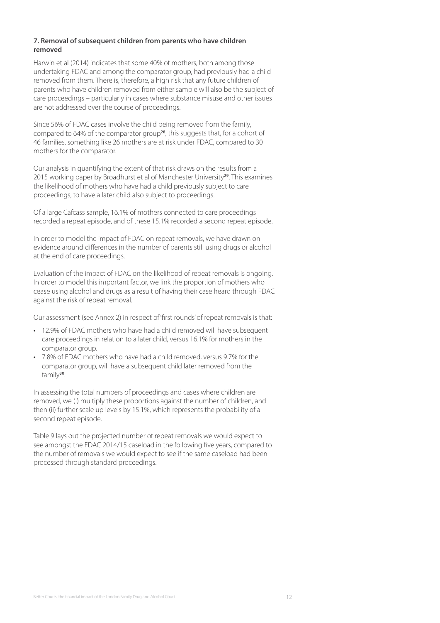#### **7. Removal of subsequent children from parents who have children removed**

Harwin et al (2014) indicates that some 40% of mothers, both among those undertaking FDAC and among the comparator group, had previously had a child removed from them. There is, therefore, a high risk that any future children of parents who have children removed from either sample will also be the subject of care proceedings – particularly in cases where substance misuse and other issues are not addressed over the course of proceedings.

Since 56% of FDAC cases involve the child being removed from the family, compared to 64% of the comparator group**<sup>28</sup>**, this suggests that, for a cohort of 46 families, something like 26 mothers are at risk under FDAC, compared to 30 mothers for the comparator.

Our analysis in quantifying the extent of that risk draws on the results from a 2015 working paper by Broadhurst et al of Manchester University**<sup>29</sup>**. This examines the likelihood of mothers who have had a child previously subject to care proceedings, to have a later child also subject to proceedings.

Of a large Cafcass sample, 16.1% of mothers connected to care proceedings recorded a repeat episode, and of these 15.1% recorded a second repeat episode.

In order to model the impact of FDAC on repeat removals, we have drawn on evidence around differences in the number of parents still using drugs or alcohol at the end of care proceedings.

Evaluation of the impact of FDAC on the likelihood of repeat removals is ongoing. In order to model this important factor, we link the proportion of mothers who cease using alcohol and drugs as a result of having their case heard through FDAC against the risk of repeat removal.

Our assessment (see Annex 2) in respect of 'first rounds' of repeat removals is that:

- 12.9% of FDAC mothers who have had a child removed will have subsequent care proceedings in relation to a later child, versus 16.1% for mothers in the comparator group.
- 7.8% of FDAC mothers who have had a child removed, versus 9.7% for the comparator group, will have a subsequent child later removed from the family**<sup>30</sup>**.

In assessing the total numbers of proceedings and cases where children are removed, we (i) multiply these proportions against the number of children, and then (ii) further scale up levels by 15.1%, which represents the probability of a second repeat episode.

Table 9 lays out the projected number of repeat removals we would expect to see amongst the FDAC 2014/15 caseload in the following five years, compared to the number of removals we would expect to see if the same caseload had been processed through standard proceedings.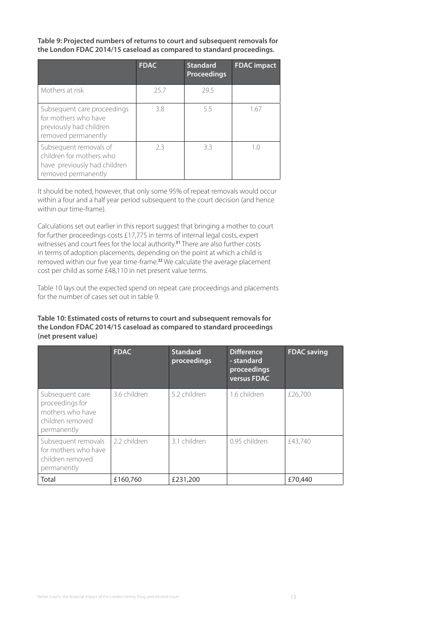**Table 9: Projected numbers of returns to court and subsequent removals for the London FDAC 2014/15 caseload as compared to standard proceedings.**

|                                                                                                           | <b>FDAC</b> | <b>Standard</b><br><b>Proceedings</b> | <b>FDAC</b> impact |
|-----------------------------------------------------------------------------------------------------------|-------------|---------------------------------------|--------------------|
| Mothers at risk                                                                                           | 25.7        | 29.5                                  |                    |
| Subsequent care proceedings<br>for mothers who have<br>previously had children<br>removed permanently     | 38          | 5.5                                   | 1.67               |
| Subsequent removals of<br>children for mothers who<br>have previously had children<br>removed permanently | 23          | 33                                    | 10                 |

It should be noted, however, that only some 95% of repeat removals would occur within a four and a half year period subsequent to the court decision (and hence within our time-frame).

Calculations set out earlier in this report suggest that bringing a mother to court for further proceedings costs £17,775 in terms of internal legal costs, expert witnesses and court fees for the local authority.**<sup>31</sup>** There are also further costs in terms of adoption placements, depending on the point at which a child is removed within our five year time-frame.**<sup>32</sup>** We calculate the average placement cost per child as some £48,110 in net present value terms.

Table 10 lays out the expected spend on repeat care proceedings and placements for the number of cases set out in table 9.

#### **Table 10: Estimated costs of returns to court and subsequent removals for the London FDAC 2014/15 caseload as compared to standard proceedings (net present value)**

|                                                                                           | <b>FDAC</b>  | <b>Standard</b><br>proceedings | <b>Difference</b><br>- standard<br>proceedings<br>versus FDAC | <b>FDAC</b> saving |
|-------------------------------------------------------------------------------------------|--------------|--------------------------------|---------------------------------------------------------------|--------------------|
| Subsequent care<br>proceedings for<br>mothers who have<br>children removed<br>permanently | 3.6 children | 5.2 children                   | 1.6 children                                                  | £26,700            |
| Subsequent removals<br>for mothers who have<br>children removed<br>permanently            | 2.2 children | 3.1 children                   | 0.95 children                                                 | £43,740            |
| Total                                                                                     | £160,760     | £231,200                       |                                                               | £70,440            |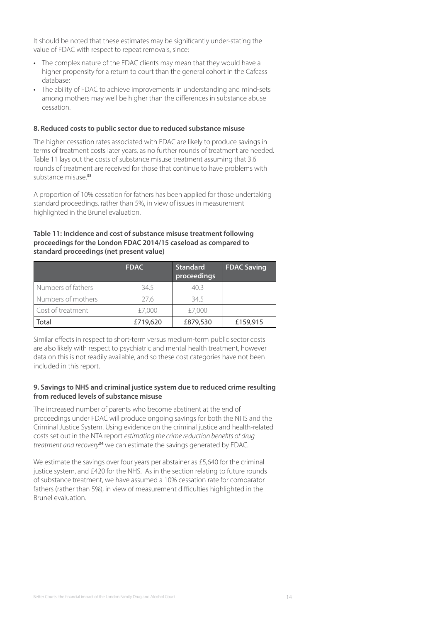It should be noted that these estimates may be significantly under-stating the value of FDAC with respect to repeat removals, since:

- The complex nature of the FDAC clients may mean that they would have a higher propensity for a return to court than the general cohort in the Cafcass database;
- The ability of FDAC to achieve improvements in understanding and mind-sets among mothers may well be higher than the differences in substance abuse cessation.

#### **8. Reduced costs to public sector due to reduced substance misuse**

The higher cessation rates associated with FDAC are likely to produce savings in terms of treatment costs later years, as no further rounds of treatment are needed. Table 11 lays out the costs of substance misuse treatment assuming that 3.6 rounds of treatment are received for those that continue to have problems with substance misuse.**<sup>33</sup>**

A proportion of 10% cessation for fathers has been applied for those undertaking standard proceedings, rather than 5%, in view of issues in measurement highlighted in the Brunel evaluation.

#### **Table 11: Incidence and cost of substance misuse treatment following proceedings for the London FDAC 2014/15 caseload as compared to standard proceedings (net present value)**

|                    | <b>FDAC</b> | <b>Standard</b><br>proceedings | <b>FDAC Saving</b> |
|--------------------|-------------|--------------------------------|--------------------|
| Numbers of fathers | 34.5        | 40.3                           |                    |
| Numbers of mothers | 276         | 34.5                           |                    |
| Cost of treatment  | £7,000      | £7,000                         |                    |
| Total              | £719,620    | £879,530                       | £159,915           |

Similar effects in respect to short-term versus medium-term public sector costs are also likely with respect to psychiatric and mental health treatment, however data on this is not readily available, and so these cost categories have not been included in this report.

#### **9. Savings to NHS and criminal justice system due to reduced crime resulting from reduced levels of substance misuse**

The increased number of parents who become abstinent at the end of proceedings under FDAC will produce ongoing savings for both the NHS and the Criminal Justice System. Using evidence on the criminal justice and health-related costs set out in the NTA report *estimating the crime reduction benefits of drug treatment and recovery***<sup>34</sup>** we can estimate the savings generated by FDAC.

We estimate the savings over four years per abstainer as £5,640 for the criminal justice system, and £420 for the NHS. As in the section relating to future rounds of substance treatment, we have assumed a 10% cessation rate for comparator fathers (rather than 5%), in view of measurement difficulties highlighted in the Brunel evaluation.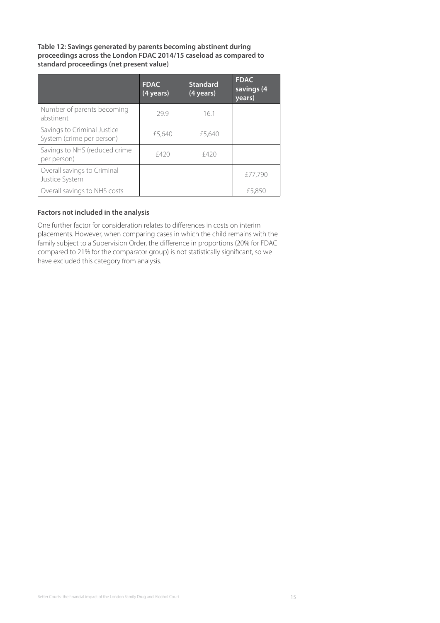**Table 12: Savings generated by parents becoming abstinent during proceedings across the London FDAC 2014/15 caseload as compared to standard proceedings (net present value)**

|                                                          | <b>FDAC</b><br>(4 years) | <b>Standard</b><br>(4 years) | <b>FDAC</b><br>savings (4<br>years) |
|----------------------------------------------------------|--------------------------|------------------------------|-------------------------------------|
| Number of parents becoming<br>abstinent                  | 299                      | 16.1                         |                                     |
| Savings to Criminal Justice<br>System (crime per person) | £5,640                   | £5,640                       |                                     |
| Savings to NHS (reduced crime<br>per person)             | £420                     | f420                         |                                     |
| Overall savings to Criminal<br>Justice System            |                          |                              | £77.790                             |
| Overall savings to NHS costs                             |                          |                              | £5,850                              |

#### **Factors not included in the analysis**

One further factor for consideration relates to differences in costs on interim placements. However, when comparing cases in which the child remains with the family subject to a Supervision Order, the difference in proportions (20% for FDAC compared to 21% for the comparator group) is not statistically significant, so we have excluded this category from analysis.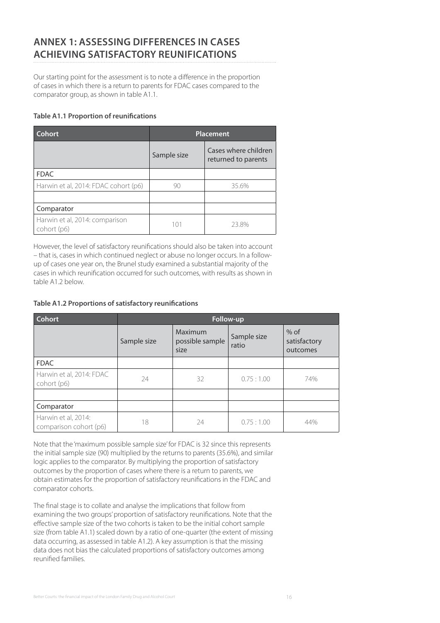# **ANNEX 1: ASSESSING DIFFERENCES IN CASES ACHIEVING SATISFACTORY REUNIFICATIONS**

Our starting point for the assessment is to note a difference in the proportion of cases in which there is a return to parents for FDAC cases compared to the comparator group, as shown in table A1.1.

#### **Table A1.1 Proportion of reunifications**

| <b>Cohort</b>                                 | <b>Placement</b> |                                             |  |
|-----------------------------------------------|------------------|---------------------------------------------|--|
|                                               | Sample size      | Cases where children<br>returned to parents |  |
| <b>FDAC</b>                                   |                  |                                             |  |
| Harwin et al, 2014: FDAC cohort (p6)          | 90               | 35.6%                                       |  |
|                                               |                  |                                             |  |
| Comparator                                    |                  |                                             |  |
| Harwin et al, 2014: comparison<br>cohort (p6) | 101              | 23.8%                                       |  |

However, the level of satisfactory reunifications should also be taken into account – that is, cases in which continued neglect or abuse no longer occurs. In a followup of cases one year on, the Brunel study examined a substantial majority of the cases in which reunification occurred for such outcomes, with results as shown in table A1.2 below.

**Table A1.2 Proportions of satisfactory reunifications** 

| <b>Cohort</b>                                 |             | Follow-up                          |                      |                                    |  |
|-----------------------------------------------|-------------|------------------------------------|----------------------|------------------------------------|--|
|                                               | Sample size | Maximum<br>possible sample<br>size | Sample size<br>ratio | $%$ of<br>satisfactory<br>outcomes |  |
| <b>FDAC</b>                                   |             |                                    |                      |                                    |  |
| Harwin et al, 2014: FDAC<br>cohort (p6)       | 24          | 32                                 | 0.75:1.00            | 74%                                |  |
|                                               |             |                                    |                      |                                    |  |
| Comparator                                    |             |                                    |                      |                                    |  |
| Harwin et al, 2014:<br>comparison cohort (p6) | 18          | 24                                 | 0.75:1.00            | 44%                                |  |

Note that the 'maximum possible sample size' for FDAC is 32 since this represents the initial sample size (90) multiplied by the returns to parents (35.6%), and similar logic applies to the comparator. By multiplying the proportion of satisfactory outcomes by the proportion of cases where there is a return to parents, we obtain estimates for the proportion of satisfactory reunifications in the FDAC and comparator cohorts.

The final stage is to collate and analyse the implications that follow from examining the two groups' proportion of satisfactory reunifications. Note that the effective sample size of the two cohorts is taken to be the initial cohort sample size (from table A1.1) scaled down by a ratio of one-quarter (the extent of missing data occurring, as assessed in table A1.2). A key assumption is that the missing data does not bias the calculated proportions of satisfactory outcomes among reunified families.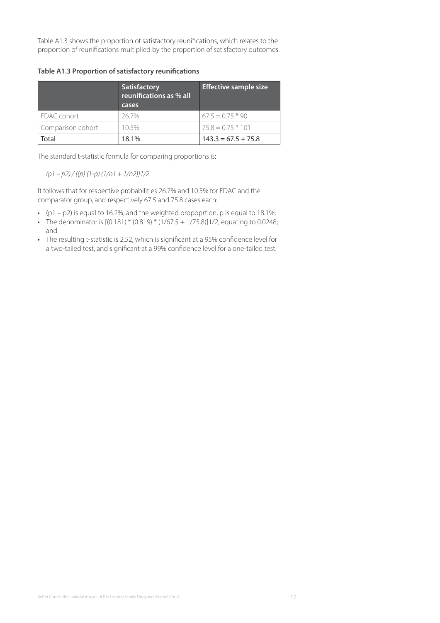Table A1.3 shows the proportion of satisfactory reunifications, which relates to the proportion of reunifications multiplied by the proportion of satisfactory outcomes.

**Table A1.3 Proportion of satisfactory reunifications** 

|                   | Satisfactory<br>reunifications as % all<br>cases | <b>Effective sample size</b> |
|-------------------|--------------------------------------------------|------------------------------|
| FDAC cohort       | 26.7%                                            | $67.5 = 0.75 * 90$           |
| Comparison cohort | 10.5%                                            | $75.8 = 0.75 * 101$          |
| Total             | 18.1%                                            | $143.3 = 67.5 + 75.8$        |

The standard t-statistic formula for comparing proportions is:

*(p1 – p2) / [(p) (1-p) (1/n1 + 1/n2)]1/2.* 

It follows that for respective probabilities 26.7% and 10.5% for FDAC and the comparator group, and respectively 67.5 and 75.8 cases each:

- ( $p1 p2$ ) is equal to 16.2%, and the weighted propoprtion, p is equal to 18.1%;
- The denominator is  $[(0.181) * (0.819) * (1/67.5 + 1/75.8)]1/2$ , equating to 0.0248; and
- The resulting t-statistic is 2.52, which is significant at a 95% confidence level for a two-tailed test, and significant at a 99% confidence level for a one-tailed test.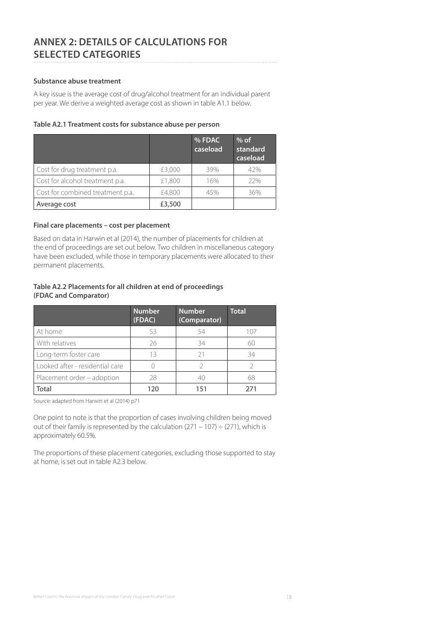# **ANNEX 2: DETAILS OF CALCULATIONS FOR SELECTED CATEGORIES**

#### **Substance abuse treatment**

A key issue is the average cost of drug/alcohol treatment for an individual parent per year. We derive a weighted average cost as shown in table A1.1 below.

#### **Table A2.1 Treatment costs for substance abuse per person**

|                                  |        | % FDAC<br>caseload | $%$ of<br>standard<br>caseload |
|----------------------------------|--------|--------------------|--------------------------------|
| Cost for drug treatment p.a.     | £3,000 | 39%                | 42%                            |
| Cost for alcohol treatment p.a.  | £1,800 | 16%                | 22%                            |
| Cost for combined treatment p.a. | £4,800 | 45%                | 36%                            |
| Average cost                     | £3,500 |                    |                                |

#### **Final care placements – cost per placement**

Based on data in Harwin et al (2014), the number of placements for children at the end of proceedings are set out below. Two children in miscellaneous category have been excluded, while those in temporary placements were allocated to their permanent placements.

#### **Table A2.2 Placements for all children at end of proceedings (FDAC and Comparator)**

|                                 | <b>Number</b><br>(FDAC) | <b>Number</b><br>(Comparator) | <b>Total</b> |
|---------------------------------|-------------------------|-------------------------------|--------------|
| At home                         | 53                      | 54                            | 107          |
| With relatives                  | 26                      | 34                            | 60           |
| Long-term foster care           | 13                      | 21                            | 34           |
| Looked after - residential care |                         |                               |              |
| Placement order - adoption      | 28                      | 4()                           | 68           |
| Total                           | 120                     | 151                           | 271          |

Source: adapted from Harwin et al (2014) p71

One point to note is that the proportion of cases involving children being moved out of their family is represented by the calculation (271 – 107)  $\div$  (271), which is approximately 60.5%.

The proportions of these placement categories, excluding those supported to stay at home, is set out in table A2.3 below.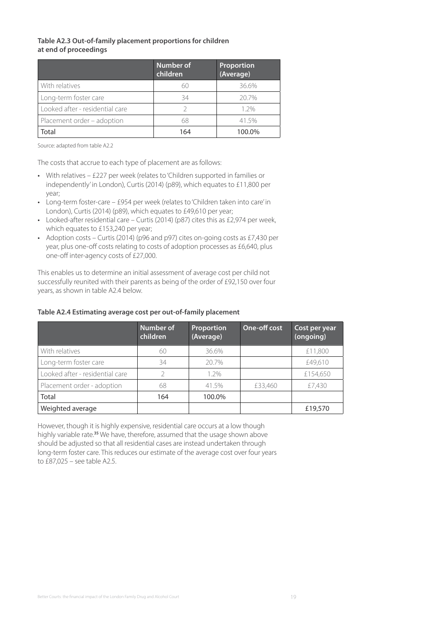#### **Table A2.3 Out-of-family placement proportions for children at end of proceedings**

|                                 | Number of<br>children | Proportion<br>(Average) |
|---------------------------------|-----------------------|-------------------------|
| With relatives                  | 60                    | 36.6%                   |
| Long-term foster care           | 34                    | 20.7%                   |
| Looked after - residential care | V                     | $1.2\%$                 |
| Placement order - adoption      | 68                    | 41.5%                   |
| Total                           | 164                   | 100.0%                  |

Source: adapted from table A2.2

The costs that accrue to each type of placement are as follows:

- With relatives £227 per week (relates to 'Children supported in families or independently' in London), Curtis (2014) (p89), which equates to £11,800 per year;
- Long-term foster-care £954 per week (relates to 'Children taken into care' in London), Curtis (2014) (p89), which equates to £49,610 per year;
- Looked-after residential care Curtis (2014) (p87) cites this as £2,974 per week, which equates to £153,240 per year;
- Adoption costs Curtis (2014) (p96 and p97) cites on-going costs as £7,430 per year, plus one-off costs relating to costs of adoption processes as £6,640, plus one-off inter-agency costs of £27,000.

This enables us to determine an initial assessment of average cost per child not successfully reunited with their parents as being of the order of £92,150 over four years, as shown in table A2.4 below.

#### **Table A2.4 Estimating average cost per out-of-family placement**

|                                 | <b>Number of</b><br>children | Proportion<br>(Average) | <b>One-off cost</b> | Cost per year<br>(ongoing) |
|---------------------------------|------------------------------|-------------------------|---------------------|----------------------------|
| With relatives                  | 60                           | 36.6%                   |                     | £11,800                    |
| Long-term foster care           | 34                           | 20.7%                   |                     | £49,610                    |
| Looked after - residential care |                              | 1.2%                    |                     | £154,650                   |
| Placement order - adoption      | 68                           | 41.5%                   | £33,460             | £7,430                     |
| Total                           | 164                          | 100.0%                  |                     |                            |
| Weighted average                |                              |                         |                     | £19,570                    |

However, though it is highly expensive, residential care occurs at a low though highly variable rate.**<sup>35</sup>** We have, therefore, assumed that the usage shown above should be adjusted so that all residential cases are instead undertaken through long-term foster care. This reduces our estimate of the average cost over four years to £87,025 – see table A2.5.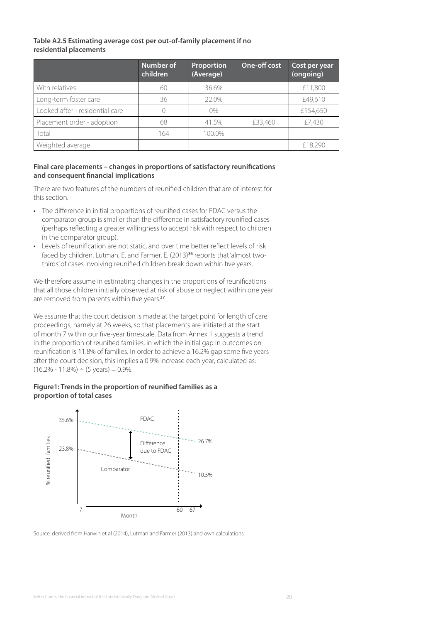#### **Table A2.5 Estimating average cost per out-of-family placement if no residential placements**

|                                 | Number of<br>children | <b>Proportion</b><br>(Average) | <b>One-off cost</b> | Cost per year<br>(ongoing) |
|---------------------------------|-----------------------|--------------------------------|---------------------|----------------------------|
| With relatives                  | 60                    | 36.6%                          |                     | £11,800                    |
| Long-term foster care           | 36                    | 22.0%                          |                     | £49,610                    |
| Looked after - residential care |                       | $0\%$                          |                     | £154,650                   |
| Placement order - adoption      | 68                    | 41.5%                          | £33,460             | £7,430                     |
| Total                           | 164                   | 100.0%                         |                     |                            |
| Weighted average                |                       |                                |                     | £18,290                    |

#### **Final care placements – changes in proportions of satisfactory reunifications and consequent financial implications**

There are two features of the numbers of reunified children that are of interest for this section.

- The difference in initial proportions of reunified cases for FDAC versus the comparator group is smaller than the difference in satisfactory reunified cases (perhaps reflecting a greater willingness to accept risk with respect to children in the comparator group).
- Levels of reunification are not static, and over time better reflect levels of risk faced by children. Lutman, E. and Farmer, E. (2013)**36** reports that 'almost twothirds' of cases involving reunified children break down within five years.

We therefore assume in estimating changes in the proportions of reunifications that all those children initially observed at risk of abuse or neglect within one year are removed from parents within five years.**<sup>37</sup>**

We assume that the court decision is made at the target point for length of care proceedings, namely at 26 weeks, so that placements are initiated at the start of month 7 within our five-year timescale. Data from Annex 1 suggests a trend in the proportion of reunified families, in which the initial gap in outcomes on reunification is 11.8% of families. In order to achieve a 16.2% gap some five years after the court decision, this implies a 0.9% increase each year, calculated as:  $(16.2\% - 11.8\%) \div (5 \text{ years}) = 0.9\%.$ 

#### **Figure1: Trends in the proportion of reunified families as a proportion of total cases**

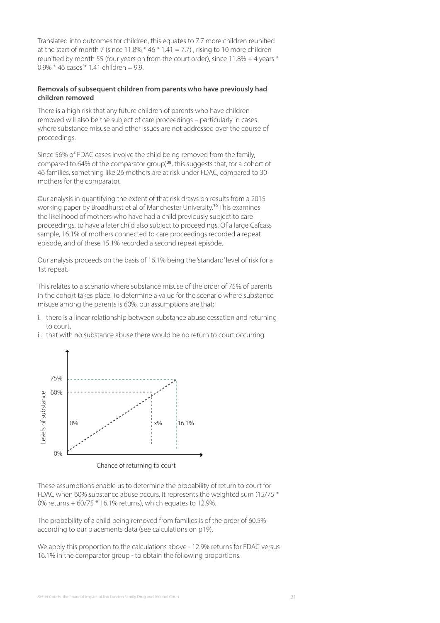Translated into outcomes for children, this equates to 7.7 more children reunified at the start of month 7 (since  $11.8\%$   $*$  46  $*$  1.41 = 7.7), rising to 10 more children reunified by month 55 (four years on from the court order), since 11.8% + 4 years \* 0.9% \* 46 cases \* 1.41 children = 9.9.

#### **Removals of subsequent children from parents who have previously had children removed**

There is a high risk that any future children of parents who have children removed will also be the subject of care proceedings – particularly in cases where substance misuse and other issues are not addressed over the course of proceedings.

Since 56% of FDAC cases involve the child being removed from the family, compared to 64% of the comparator group)**<sup>38</sup>**, this suggests that, for a cohort of 46 families, something like 26 mothers are at risk under FDAC, compared to 30 mothers for the comparator.

Our analysis in quantifying the extent of that risk draws on results from a 2015 working paper by Broadhurst et al of Manchester University.**<sup>39</sup>** This examines the likelihood of mothers who have had a child previously subject to care proceedings, to have a later child also subject to proceedings. Of a large Cafcass sample, 16.1% of mothers connected to care proceedings recorded a repeat episode, and of these 15.1% recorded a second repeat episode.

Our analysis proceeds on the basis of 16.1% being the 'standard' level of risk for a 1st repeat.

This relates to a scenario where substance misuse of the order of 75% of parents in the cohort takes place. To determine a value for the scenario where substance misuse among the parents is 60%, our assumptions are that:

- i. there is a linear relationship between substance abuse cessation and returning to court,
- ii. that with no substance abuse there would be no return to court occurring.



These assumptions enable us to determine the probability of return to court for FDAC when 60% substance abuse occurs. It represents the weighted sum (15/75 \* 0% returns + 60/75 \* 16.1% returns), which equates to 12.9%.

The probability of a child being removed from families is of the order of 60.5% according to our placements data (see calculations on p19).

We apply this proportion to the calculations above - 12.9% returns for FDAC versus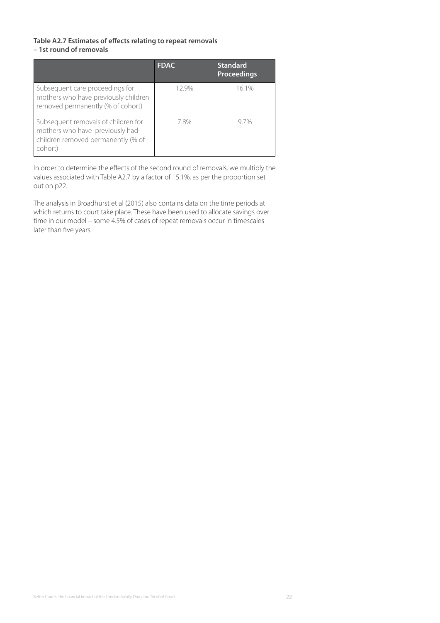#### **Table A2.7 Estimates of effects relating to repeat removals – 1st round of removals**

|                                                                                                                         | <b>FDAC</b> | <b>Standard</b><br>Proceedings |
|-------------------------------------------------------------------------------------------------------------------------|-------------|--------------------------------|
| Subsequent care proceedings for<br>mothers who have previously children<br>removed permanently (% of cohort)            | 12.9%       | 16.1%                          |
| Subsequent removals of children for<br>mothers who have previously had<br>children removed permanently (% of<br>cohort) | 7.8%        | 97%                            |

In order to determine the effects of the second round of removals, we multiply the values associated with Table A2.7 by a factor of 15.1%, as per the proportion set out on p22.

The analysis in Broadhurst et al (2015) also contains data on the time periods at which returns to court take place. These have been used to allocate savings over time in our model – some 4.5% of cases of repeat removals occur in timescales later than five years.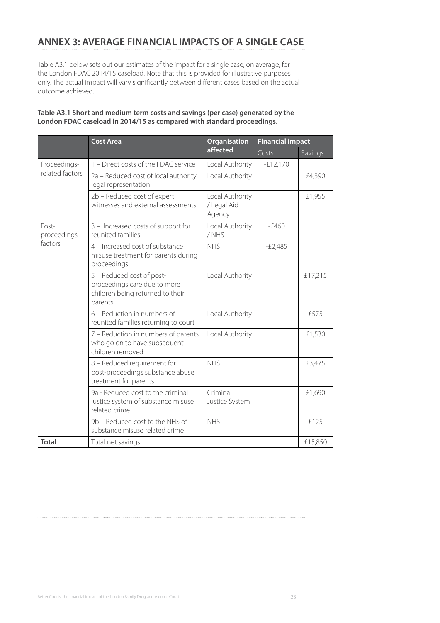# **ANNEX 3: AVERAGE FINANCIAL IMPACTS OF A SINGLE CASE**

Table A3.1 below sets out our estimates of the impact for a single case, on average, for the London FDAC 2014/15 caseload. Note that this is provided for illustrative purposes only. The actual impact will vary significantly between different cases based on the actual outcome achieved.

#### **Table A3.1 Short and medium term costs and savings (per case) generated by the London FDAC caseload in 2014/15 as compared with standard proceedings.**

|                      | <b>Cost Area</b>                                                                                         | <b>Organisation</b>                      | <b>Financial impact</b> |         |
|----------------------|----------------------------------------------------------------------------------------------------------|------------------------------------------|-------------------------|---------|
|                      |                                                                                                          | affected                                 | Costs                   | Savings |
| Proceedings-         | 1 - Direct costs of the FDAC service                                                                     | Local Authority                          | $-E12,170$              |         |
| related factors      | 2a - Reduced cost of local authority<br>legal representation                                             | Local Authority                          |                         | £4,390  |
|                      | 2b - Reduced cost of expert<br>witnesses and external assessments                                        | Local Authority<br>/ Legal Aid<br>Agency |                         | £1,955  |
| Post-<br>proceedings | 3 - Increased costs of support for<br>reunited families                                                  | Local Authority<br>/NHS                  | $-f460$                 |         |
| factors              | 4 - Increased cost of substance<br>misuse treatment for parents during<br>proceedings                    | <b>NHS</b>                               | $-E2,485$               |         |
|                      | 5 - Reduced cost of post-<br>proceedings care due to more<br>children being returned to their<br>parents | Local Authority                          |                         | £17,215 |
|                      | 6 – Reduction in numbers of<br>reunited families returning to court                                      | Local Authority                          |                         | £575    |
|                      | 7 - Reduction in numbers of parents<br>who go on to have subsequent<br>children removed                  | Local Authority                          |                         | £1,530  |
|                      | 8 - Reduced requirement for<br>post-proceedings substance abuse<br>treatment for parents                 | <b>NHS</b>                               |                         | £3,475  |
|                      | 9a - Reduced cost to the criminal<br>justice system of substance misuse<br>related crime                 | Criminal<br>Justice System               |                         | £1,690  |
|                      | 9b - Reduced cost to the NHS of<br>substance misuse related crime                                        | <b>NHS</b>                               |                         | £125    |
| <b>Total</b>         | Total net savings                                                                                        |                                          |                         | £15,850 |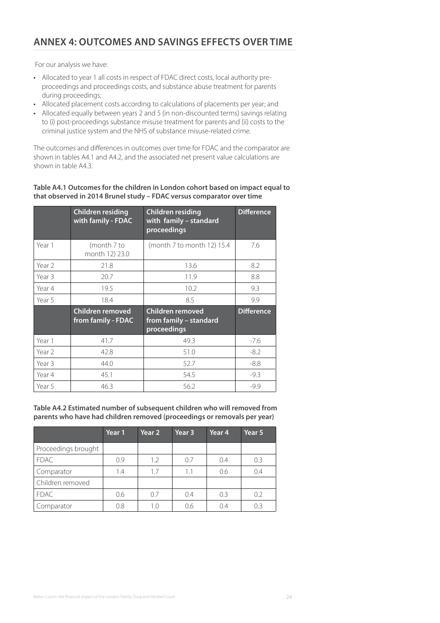# **ANNEX 4: OUTCOMES AND SAVINGS EFFECTS OVER TIME**

For our analysis we have:

- Allocated to year 1 all costs in respect of FDAC direct costs, local authority preproceedings and proceedings costs, and substance abuse treatment for parents during proceedings;
- Allocated placement costs according to calculations of placements per year; and
- Allocated equally between years 2 and 5 (in non-discounted terms) savings relating to (i) post-proceedings substance misuse treatment for parents and (ii) costs to the criminal justice system and the NHS of substance misuse-related crime.

The outcomes and differences in outcomes over time for FDAC and the comparator are shown in tables A4.1 and A4.2, and the associated net present value calculations are shown in table A4.3.

#### **Table A4.1 Outcomes for the children in London cohort based on impact equal to that observed in 2014 Brunel study – FDAC versus comparator over time**

|        | <b>Children residing</b><br>with family - FDAC | <b>Children residing</b><br>with family - standard<br>proceedings | <b>Difference</b> |
|--------|------------------------------------------------|-------------------------------------------------------------------|-------------------|
| Year 1 | (month 7 to<br>month 12) 23.0                  | (month 7 to month 12) 15.4                                        | 7.6               |
| Year 2 | 21.8                                           | 13.6                                                              | 8.2               |
| Year 3 | 20.7                                           | 11.9                                                              | 8.8               |
| Year 4 | 19.5                                           | 10.2                                                              | 9.3               |
| Year 5 | 18.4                                           | 8.5                                                               | 9.9               |
|        | Children removed<br>from family - FDAC         | Children removed<br>from family - standard<br>proceedings         | <b>Difference</b> |
| Year 1 | 41.7                                           | 49.3                                                              | $-7.6$            |
| Year 2 | 42.8                                           | 51.0                                                              | $-8.2$            |
| Year 3 | 44.0                                           | 52.7                                                              | $-8.8$            |
| Year 4 | 45.1                                           | 54.5                                                              | $-9.3$            |
| Year 5 | 46.3                                           | 56.2                                                              | $-9.9$            |

**Table A4.2 Estimated number of subsequent children who will removed from parents who have had children removed (proceedings or removals per year)**

|                     | Year 1 | Year <sub>2</sub> | Year 3 | Year <sub>4</sub> | Year 5 |
|---------------------|--------|-------------------|--------|-------------------|--------|
| Proceedings brought |        |                   |        |                   |        |
| FDAC.               | 09     | 1.2               | 0.7    | 0.4               | 0.3    |
| Comparator          | 1.4    | 1.7               | 1.1    | 0.6               | 0.4    |
| Children removed    |        |                   |        |                   |        |
| <b>FDAC</b>         | 0.6    | 0.7               | 0.4    | 0.3               | 0.2    |
| Comparator          | 0.8    | 1.0               | 0.6    | 0.4               | 0.3    |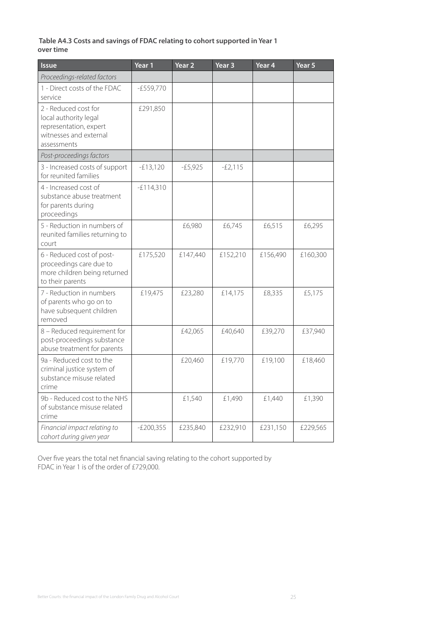#### **Table A4.3 Costs and savings of FDAC relating to cohort supported in Year 1 over time**

| <b>Issue</b>                                                                                                     | Year 1      | Year <sub>2</sub> | Year <sub>3</sub> | Year <sub>4</sub> | Year 5   |
|------------------------------------------------------------------------------------------------------------------|-------------|-------------------|-------------------|-------------------|----------|
| Proceedings-related factors                                                                                      |             |                   |                   |                   |          |
| 1 - Direct costs of the FDAC<br>service                                                                          | $-E559,770$ |                   |                   |                   |          |
| 2 - Reduced cost for<br>local authority legal<br>representation, expert<br>witnesses and external<br>assessments | £291,850    |                   |                   |                   |          |
| Post-proceedings factors                                                                                         |             |                   |                   |                   |          |
| 3 - Increased costs of support<br>for reunited families                                                          | $-E13,120$  | $-E5,925$         | $-E2,115$         |                   |          |
| 4 - Increased cost of<br>substance abuse treatment<br>for parents during<br>proceedings                          | $-E114,310$ |                   |                   |                   |          |
| 5 - Reduction in numbers of<br>reunited families returning to<br>court                                           |             | £6,980            | £6,745            | £6,515            | £6,295   |
| 6 - Reduced cost of post-<br>proceedings care due to<br>more children being returned<br>to their parents         | £175,520    | £147,440          | £152,210          | £156,490          | £160,300 |
| 7 - Reduction in numbers<br>of parents who go on to<br>have subsequent children<br>removed                       | £19,475     | £23,280           | £14,175           | £8,335            | £5,175   |
| 8 - Reduced requirement for<br>post-proceedings substance<br>abuse treatment for parents                         |             | £42,065           | £40,640           | £39,270           | £37,940  |
| 9a - Reduced cost to the<br>criminal justice system of<br>substance misuse related<br>crime                      |             | £20,460           | £19,770           | £19,100           | £18,460  |
| 9b - Reduced cost to the NHS<br>of substance misuse related<br>crime                                             |             | £1,540            | £1,490            | £1,440            | £1,390   |
| Financial impact relating to<br>cohort during given year                                                         | $-E200,355$ | £235,840          | £232,910          | £231,150          | £229,565 |

Over five years the total net financial saving relating to the cohort supported by FDAC in Year 1 is of the order of £729,000.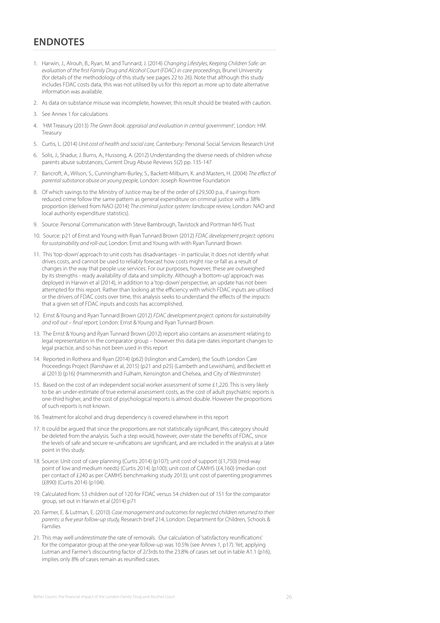### **ENDNOTES**

- 1. Harwin, J., Alrouh, B., Ryan, M. and Tunnard, J. (2014) *Changing Lifestyles, Keeping Children Safe: an*  evaluation of the first Family Drug and Alcohol Court (FDAC) in care proceedings, Brunel University (for details of the methodology of this study see pages 22 to 26). Note that although this study includes FDAC costs data, this was not utilised by us for this report as more up to date alternative information was available.
- 2. As data on substance misuse was incomplete, however, this result should be treated with caution.
- 3. See Annex 1 for calculations
- 4. 'HM Treasury (2013) *The Green Book: appraisal and evaluation in central government'*, London: HM Treasury
- 5. Curtis, L. (2014) *Unit cost of health and social care,* Canterbury: Personal Social Services Research Unit
- 6. Solis, J., Shadur, J. Burns, A., Hussong, A. (2012) Understanding the diverse needs of children whose parents abuse substances, Current Drug Abuse Reviews 5(2) pp. 135-147
- 7. Bancroft, A., Wilson, S., Cunningham-Burley, S., Backett-Milburn, K. and Masters, H. (2004) *The effect of parental substance abuse on young people,* London: Joseph Rowntree Foundation
- 8. Of which savings to the Ministry of Justice may be of the order of £29,500 p.a., if savings from reduced crime follow the same pattern as general expenditure on criminal justice with a 38% proportion (derived from NAO (2014) *The criminal justice system: landscape review,* London: NAO and local authority expenditure statistics).
- 9. Source: Personal Communication with Steve Bambrough, Tavistock and Portman NHS Trust
- 10. Source: p21 of Ernst and Young with Ryan Tunnard Brown (2012) *FDAC development project: options for sustainability and roll-out,* London: Ernst and Young with with Ryan Tunnard Brown
- 11. This 'top-down' approach to unit costs has disadvantages in particular, it does not identify what drives costs, and cannot be used to reliably forecast how costs might rise or fall as a result of changes in the way that people use services. For our purposes, however, these are outweighed by its strengths - ready availability of data and simplicity. Although a 'bottom-up' approach was deployed in Harwin et al (2014), in addition to a 'top-down' perspective, an update has not been attempted for this report. Rather than looking at the efficiency with which FDAC inputs are utilised or the drivers of FDAC costs over time, this analysis seeks to understand the effects of the *impacts* that a given set of FDAC inputs and costs has accomplished.
- 12. Ernst & Young and Ryan Tunnard Brown (2012) *FDAC development project: options for sustainability and roll out – final report,* London: Ernst & Young and Ryan Tunnard Brown
- 13. The Ernst & Young and Ryan Tunnard Brown (2012) report also contains an assessment relating to legal representation in the comparator group – however this data pre-dates important changes to legal practice, and so has not been used in this report
- 14. Reported in Rothera and Ryan (2014) (p62) (Islington and Camden), the South London Care Proceedings Project (Ranshaw et al, 2015) (p21 and p25) (Lambeth and Lewisham), and Beckett et al (2013) (p16) (Hammersmith and Fulham, Kensington and Chelsea, and City of Westminster)
- 15. Based on the cost of an independent social worker assessment of some £1,220. This is very likely to be an under-estimate of true external assessment costs, as the cost of adult psychiatric reports is one-third higher, and the cost of psychological reports is almost double. However the proportions of such reports is not known.
- 16. Treatment for alcohol and drug dependency is covered elsewhere in this report
- 17. It could be argued that since the proportions are not statistically significant, this category should be deleted from the analysis. Such a step would, however, over-state the benefits of FDAC, since the levels of safe and secure re-unifications are significant, and are included in the analysis at a later point in this study.
- 18. Source: Unit cost of care planning (Curtis 2014) (p107); unit cost of support (£1,750) (mid-way point of low and medium needs) (Curtis 2014) (p100); unit cost of CAMHS (£4,160) (median cost per contact of £240 as per CAMHS benchmarking study 2013); unit cost of parenting programmes (£890) (Curtis 2014) (p104).
- 19. Calculated from: 53 children out of 120 for FDAC versus 54 children out of 151 for the comparator group, set out in Harwin et al (2014) p71
- 20. Farmer, E. & Lutman, E. (2010) *Case management and outcomes for neglected children returned to their parents: a five year follow-up study,* Research brief 214, London: Department for Children, Schools & Families
- 21. This may well *underestimate* the rate of removals. Our calculation of 'satisfactory reunifications' for the comparator group at the one-year follow-up was 10.5% (see Annex 1, p17). Yet, applying Lutman and Farmer's discounting factor of 2/3rds to the 23.8% of cases set out in table A1.1 (p16), implies only 8% of cases remain as reunified cases.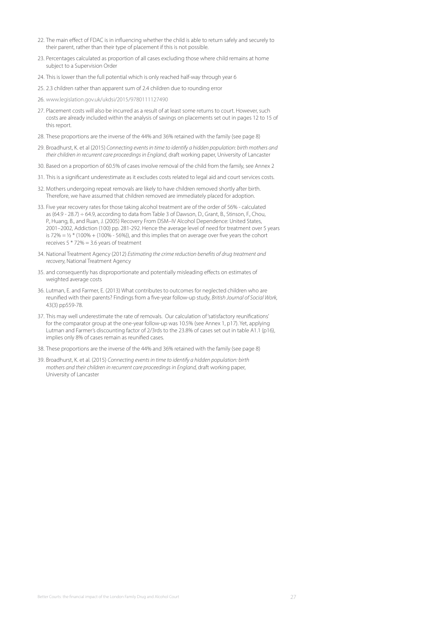- 22. The main effect of FDAC is in influencing whether the child is able to return safely and securely to their parent, rather than their type of placement if this is not possible.
- 23. Percentages calculated as proportion of all cases excluding those where child remains at home subject to a Supervision Order
- 24. This is lower than the full potential which is only reached half-way through year 6
- 25. 2.3 children rather than apparent sum of 2.4 children due to rounding error
- 26. [www.legislation.gov.uk/ukdsi/2015/9780111127490](http://www.legislation.gov.uk/ukdsi/2015/9780111127490)
- 27. Placement costs will also be incurred as a result of at least some returns to court. However, such costs are already included within the analysis of savings on placements set out in pages 12 to 15 of this report.
- 28. These proportions are the inverse of the 44% and 36% retained with the family (see page 8)
- 29. Broadhurst, K. et al (2015) *Connecting events in time to identify a hidden population: birth mothers and their children in recurrent care proceedings in England*, draft working paper, University of Lancaster
- 30. Based on a proportion of 60.5% of cases involve removal of the child from the family, see Annex 2
- 31. This is a significant underestimate as it excludes costs related to legal aid and court services costs.
- 32. Mothers undergoing repeat removals are likely to have children removed shortly after birth. Therefore, we have assumed that children removed are immediately placed for adoption.
- 33. Five year recovery rates for those taking alcohol treatment are of the order of 56% calculated as (64.9 - 28.7) ÷ 64.9, according to data from Table 3 of Dawson, D., Grant, B., Stinson, F., Chou, P., Huang, B., and Ruan, J. (2005) Recovery From DSM–IV Alcohol Dependence: United States, 2001–2002, Addiction (100) pp. 281-292. Hence the average level of need for treatment over 5 years is 72% =  $\frac{1}{2}$  \* (100% + (100% - 56%)), and this implies that on average over five years the cohort receives  $5 * 72\% = 3.6$  years of treatment
- 34. National Treatment Agency (2012) *Estimating the crime reduction benefits of drug treatment and recovery,* National Treatment Agency
- 35. and consequently has disproportionate and potentially misleading effects on estimates of weighted average costs
- 36. Lutman, E. and Farmer, E. (2013) What contributes to outcomes for neglected children who are reunified with their parents? Findings from a five-year follow-up study, *British Journal of Social Work,* 43(3) pp559-78.
- 37. This may well underestimate the rate of removals. Our calculation of 'satisfactory reunifications' for the comparator group at the one-year follow-up was 10.5% (see Annex 1, p17). Yet, applying Lutman and Farmer's discounting factor of 2/3rds to the 23.8% of cases set out in table A1.1 (p16), implies only 8% of cases remain as reunified cases.
- 38. These proportions are the inverse of the 44% and 36% retained with the family (see page 8)
- 39. Broadhurst, K. et al. (2015) *Connecting events in time to identify a hidden population: birth mothers and their children in recurrent care proceedings in England, draft working paper,* University of Lancaster